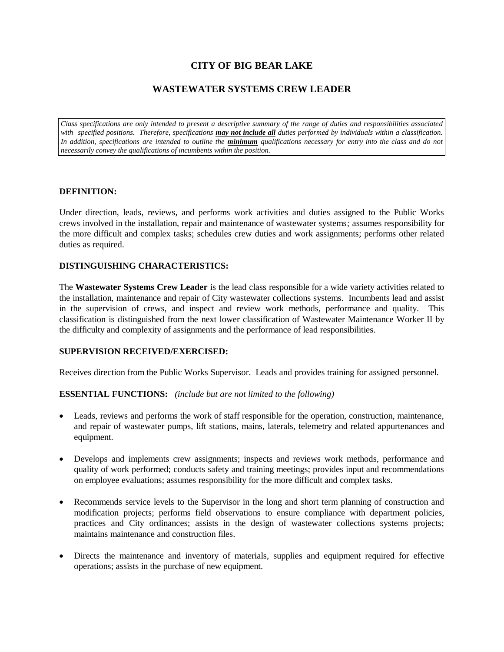# **CITY OF BIG BEAR LAKE**

## **WASTEWATER SYSTEMS CREW LEADER**

*Class specifications are only intended to present a descriptive summary of the range of duties and responsibilities associated*  with specified positions. Therefore, specifications **may not include all** duties performed by individuals within a classification. In addition, specifications are intended to outline the *minimum* qualifications necessary for entry into the class and do not *necessarily convey the qualifications of incumbents within the position.*

#### **DEFINITION:**

Under direction, leads, reviews, and performs work activities and duties assigned to the Public Works crews involved in the installation, repair and maintenance of wastewater systems*;* assumes responsibility for the more difficult and complex tasks; schedules crew duties and work assignments; performs other related duties as required.

#### **DISTINGUISHING CHARACTERISTICS:**

The **Wastewater Systems Crew Leader** is the lead class responsible for a wide variety activities related to the installation, maintenance and repair of City wastewater collections systems. Incumbents lead and assist in the supervision of crews, and inspect and review work methods, performance and quality. This classification is distinguished from the next lower classification of Wastewater Maintenance Worker II by the difficulty and complexity of assignments and the performance of lead responsibilities.

#### **SUPERVISION RECEIVED/EXERCISED:**

Receives direction from the Public Works Supervisor. Leads and provides training for assigned personnel.

#### **ESSENTIAL FUNCTIONS:** *(include but are not limited to the following)*

- Leads, reviews and performs the work of staff responsible for the operation, construction, maintenance, and repair of wastewater pumps, lift stations, mains, laterals, telemetry and related appurtenances and equipment.
- Develops and implements crew assignments; inspects and reviews work methods, performance and quality of work performed; conducts safety and training meetings; provides input and recommendations on employee evaluations; assumes responsibility for the more difficult and complex tasks.
- Recommends service levels to the Supervisor in the long and short term planning of construction and modification projects; performs field observations to ensure compliance with department policies, practices and City ordinances; assists in the design of wastewater collections systems projects; maintains maintenance and construction files.
- Directs the maintenance and inventory of materials, supplies and equipment required for effective operations; assists in the purchase of new equipment.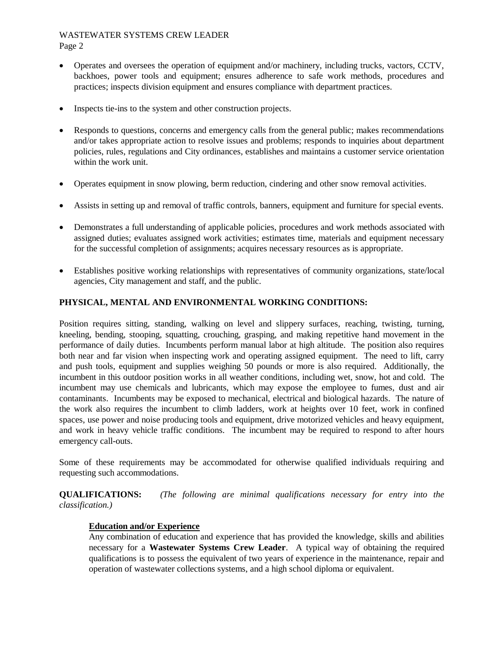# WASTEWATER SYSTEMS CREW LEADER

Page 2

- Operates and oversees the operation of equipment and/or machinery, including trucks, vactors, CCTV, backhoes, power tools and equipment; ensures adherence to safe work methods, procedures and practices; inspects division equipment and ensures compliance with department practices.
- Inspects tie-ins to the system and other construction projects.
- Responds to questions, concerns and emergency calls from the general public; makes recommendations and/or takes appropriate action to resolve issues and problems; responds to inquiries about department policies, rules, regulations and City ordinances, establishes and maintains a customer service orientation within the work unit.
- Operates equipment in snow plowing, berm reduction, cindering and other snow removal activities.
- Assists in setting up and removal of traffic controls, banners, equipment and furniture for special events.
- Demonstrates a full understanding of applicable policies, procedures and work methods associated with assigned duties; evaluates assigned work activities; estimates time, materials and equipment necessary for the successful completion of assignments; acquires necessary resources as is appropriate.
- Establishes positive working relationships with representatives of community organizations, state/local agencies, City management and staff, and the public.

### **PHYSICAL, MENTAL AND ENVIRONMENTAL WORKING CONDITIONS:**

Position requires sitting, standing, walking on level and slippery surfaces, reaching, twisting, turning, kneeling, bending, stooping, squatting, crouching, grasping, and making repetitive hand movement in the performance of daily duties. Incumbents perform manual labor at high altitude. The position also requires both near and far vision when inspecting work and operating assigned equipment. The need to lift, carry and push tools, equipment and supplies weighing 50 pounds or more is also required. Additionally, the incumbent in this outdoor position works in all weather conditions, including wet, snow, hot and cold. The incumbent may use chemicals and lubricants, which may expose the employee to fumes, dust and air contaminants. Incumbents may be exposed to mechanical, electrical and biological hazards. The nature of the work also requires the incumbent to climb ladders, work at heights over 10 feet, work in confined spaces, use power and noise producing tools and equipment, drive motorized vehicles and heavy equipment, and work in heavy vehicle traffic conditions. The incumbent may be required to respond to after hours emergency call-outs.

Some of these requirements may be accommodated for otherwise qualified individuals requiring and requesting such accommodations.

**QUALIFICATIONS:** *(The following are minimal qualifications necessary for entry into the classification.)*

#### **Education and/or Experience**

Any combination of education and experience that has provided the knowledge, skills and abilities necessary for a **Wastewater Systems Crew Leader**. A typical way of obtaining the required qualifications is to possess the equivalent of two years of experience in the maintenance, repair and operation of wastewater collections systems, and a high school diploma or equivalent.